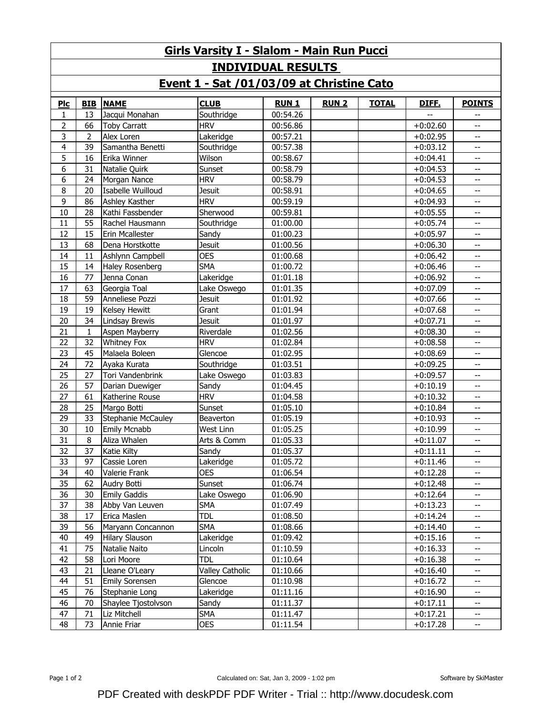| <b>Girls Varsity I - Slalom - Main Run Pucci</b> |              |                           |                        |             |              |              |            |                                                     |  |  |  |  |
|--------------------------------------------------|--------------|---------------------------|------------------------|-------------|--------------|--------------|------------|-----------------------------------------------------|--|--|--|--|
| <b>INDIVIDUAL RESULTS</b>                        |              |                           |                        |             |              |              |            |                                                     |  |  |  |  |
| Event 1 - Sat /01/03/09 at Christine Cato        |              |                           |                        |             |              |              |            |                                                     |  |  |  |  |
| PLC                                              | <b>BIB</b>   | <b>NAME</b>               | <b>CLUB</b>            | <b>RUN1</b> | <b>RUN 2</b> | <b>TOTAL</b> | DIFF.      | <b>POINTS</b>                                       |  |  |  |  |
| 1                                                | 13           | Jacqui Monahan            | Southridge             | 00:54.26    |              |              |            | $\overline{\phantom{m}}$                            |  |  |  |  |
| 2                                                | 66           | <b>Toby Carratt</b>       | <b>HRV</b>             | 00:56.86    |              |              | $+0:02.60$ | $\overline{\phantom{m}}$                            |  |  |  |  |
| 3                                                | 2            | Alex Loren                | Lakeridge              | 00:57.21    |              |              | $+0:02.95$ | $\overline{\phantom{m}}$                            |  |  |  |  |
| 4                                                | 39           | Samantha Benetti          | Southridge             | 00:57.38    |              |              | $+0:03.12$ | $\overline{\phantom{m}}$                            |  |  |  |  |
| 5                                                | 16           | Erika Winner              | Wilson                 | 00:58.67    |              |              | $+0:04.41$ | $\overline{\phantom{m}}$                            |  |  |  |  |
| 6                                                | 31           | Natalie Quirk             | Sunset                 | 00:58.79    |              |              | $+0:04.53$ | $\overline{\phantom{m}}$                            |  |  |  |  |
| 6                                                | 24           | Morgan Nance              | <b>HRV</b>             | 00:58.79    |              |              | $+0:04.53$ | $\overline{\phantom{m}}$                            |  |  |  |  |
| 8                                                | 20           | Isabelle Wuilloud         | <b>Jesuit</b>          | 00:58.91    |              |              | $+0:04.65$ | $\overline{\phantom{m}}$                            |  |  |  |  |
| 9                                                | 86           | Ashley Kasther            | <b>HRV</b>             | 00:59.19    |              |              | $+0:04.93$ | $\overline{\phantom{m}}$                            |  |  |  |  |
| 10                                               | 28           | Kathi Fassbender          | Sherwood               | 00:59.81    |              |              | $+0:05.55$ | $\overline{\phantom{m}}$                            |  |  |  |  |
| 11                                               | 55           | Rachel Hausmann           | Southridge             | 01:00.00    |              |              | $+0:05.74$ | $\overline{\phantom{m}}$                            |  |  |  |  |
| 12                                               | 15           | Erin Mcallester           | Sandy                  | 01:00.23    |              |              | $+0:05.97$ | $\overline{\phantom{m}}$                            |  |  |  |  |
| 13                                               | 68           | Dena Horstkotte           | <b>Jesuit</b>          | 01:00.56    |              |              | $+0:06.30$ | $\overline{\phantom{m}}$                            |  |  |  |  |
| 14                                               | 11           | Ashlynn Campbell          | <b>OES</b>             | 01:00.68    |              |              | $+0:06.42$ | $\overline{\phantom{m}}$                            |  |  |  |  |
| 15                                               | 14           | Haley Rosenberg           | <b>SMA</b>             | 01:00.72    |              |              | $+0:06.46$ | $\overline{\phantom{m}}$                            |  |  |  |  |
| 16                                               | 77           | Jenna Conan               | Lakeridge              | 01:01.18    |              |              | $+0:06.92$ | $\overline{\phantom{m}}$                            |  |  |  |  |
| 17                                               | 63           | Georgia Toal              | Lake Oswego            | 01:01.35    |              |              | $+0:07.09$ | $\overline{\phantom{m}}$                            |  |  |  |  |
| 18                                               | 59           | Anneliese Pozzi           | Jesuit                 | 01:01.92    |              |              | $+0:07.66$ | $\overline{\phantom{m}}$                            |  |  |  |  |
| 19                                               | 19           | Kelsey Hewitt             | Grant                  | 01:01.94    |              |              | $+0:07.68$ | $- -$                                               |  |  |  |  |
| 20                                               | 34           | <b>Lindsay Brewis</b>     | <b>Jesuit</b>          | 01:01.97    |              |              | $+0:07.71$ | $\overline{\phantom{m}}$                            |  |  |  |  |
| 21                                               | $\mathbf{1}$ | Aspen Mayberry            | Riverdale              | 01:02.56    |              |              | $+0:08.30$ | $\overline{\phantom{m}}$                            |  |  |  |  |
| 22                                               | 32           | <b>Whitney Fox</b>        | <b>HRV</b>             | 01:02.84    |              |              | $+0:08.58$ | $\overline{\phantom{m}}$                            |  |  |  |  |
| 23                                               | 45           | Malaela Boleen            | Glencoe                | 01:02.95    |              |              | $+0:08.69$ | $\overline{\phantom{m}}$                            |  |  |  |  |
| 24                                               | 72           | Ayaka Kurata              | Southridge             | 01:03.51    |              |              | $+0:09.25$ | $\overline{\phantom{m}}$                            |  |  |  |  |
| 25                                               | 27           | Tori Vandenbrink          | Lake Oswego            | 01:03.83    |              |              | $+0:09.57$ | $\overline{\phantom{m}}$                            |  |  |  |  |
| 26                                               | 57           | Darian Duewiger           | Sandy                  | 01:04.45    |              |              | $+0:10.19$ | $\overline{\phantom{m}}$                            |  |  |  |  |
| 27                                               | 61           | Katherine Rouse           | <b>HRV</b>             | 01:04.58    |              |              | $+0:10.32$ | $\overline{\phantom{m}}$                            |  |  |  |  |
| 28                                               | 25           | Margo Botti               | Sunset                 | 01:05.10    |              |              | $+0:10.84$ | $\overline{\phantom{m}}$                            |  |  |  |  |
| 29                                               | 33           | <b>Stephanie McCauley</b> | Beaverton              | 01:05.19    |              |              | $+0:10.93$ | $\overline{\phantom{m}}$                            |  |  |  |  |
| 30                                               | 10           | Emily Mcnabb              | West Linn              | 01:05.25    |              |              | $+0:10.99$ | $\overline{\phantom{m}}$                            |  |  |  |  |
| 31                                               | 8            | Aliza Whalen              | Arts & Comm            | 01:05.33    |              |              | $+0:11.07$ | $\overline{\phantom{m}}$                            |  |  |  |  |
| 32                                               | 37           | Katie Kilty               | Sandy                  | 01:05.37    |              |              | $+0:11.11$ | $\overline{\phantom{a}}$                            |  |  |  |  |
| 33                                               | 97           | Cassie Loren              | Lakeridge              | 01:05.72    |              |              | $+0:11.46$ | --                                                  |  |  |  |  |
| 34                                               | 40           | Valerie Frank             | <b>OES</b>             | 01:06.54    |              |              | $+0:12.28$ | $\overline{\phantom{a}}$                            |  |  |  |  |
| 35                                               | 62           | Audry Botti               | Sunset                 | 01:06.74    |              |              | $+0:12.48$ | $\overline{\phantom{a}}$                            |  |  |  |  |
| 36                                               | 30           | <b>Emily Gaddis</b>       | Lake Oswego            | 01:06.90    |              |              | $+0:12.64$ | --                                                  |  |  |  |  |
| 37                                               | 38           | Abby Van Leuven           | <b>SMA</b>             | 01:07.49    |              |              | $+0:13.23$ | $\overline{\phantom{a}}$                            |  |  |  |  |
| 38                                               | 17           | Erica Maslen              | tdl                    | 01:08.50    |              |              | $+0:14.24$ | --                                                  |  |  |  |  |
| 39                                               | 56           | Maryann Concannon         | <b>SMA</b>             | 01:08.66    |              |              | $+0:14.40$ | --                                                  |  |  |  |  |
| 40                                               | 49           | <b>Hilary Slauson</b>     | Lakeridge              | 01:09.42    |              |              | $+0:15.16$ | $\overline{\phantom{a}}$                            |  |  |  |  |
| 41                                               | 75           | Natalie Naito             | Lincoln                | 01:10.59    |              |              | $+0:16.33$ | $\overline{\phantom{a}}$                            |  |  |  |  |
| 42                                               | 58           | Lori Moore                | <b>TDL</b>             | 01:10.64    |              |              | $+0:16.38$ | --                                                  |  |  |  |  |
| 43                                               | 21           | Lleane O'Leary            | <b>Valley Catholic</b> | 01:10.66    |              |              | $+0:16.40$ | $\overline{\phantom{a}}$                            |  |  |  |  |
| 44                                               | 51           | <b>Emily Sorensen</b>     | Glencoe                | 01:10.98    |              |              | $+0:16.72$ | $\overline{\phantom{a}}$                            |  |  |  |  |
| 45                                               | 76           | Stephanie Long            | Lakeridge              | 01:11.16    |              |              | $+0:16.90$ | --                                                  |  |  |  |  |
| 46                                               | 70           | Shaylee Tjostolvson       | Sandy                  | 01:11.37    |              |              | $+0:17.11$ | $\overline{\phantom{a}}$                            |  |  |  |  |
| 47                                               | 71           | Liz Mitchell              | <b>SMA</b>             | 01:11.47    |              |              | $+0:17.21$ | $\overline{\phantom{a}}$                            |  |  |  |  |
| 48                                               | 73           | Annie Friar               | <b>OES</b>             | 01:11.54    |              |              | $+0:17.28$ | $\hspace{0.05cm} -\hspace{0.05cm} -\hspace{0.05cm}$ |  |  |  |  |